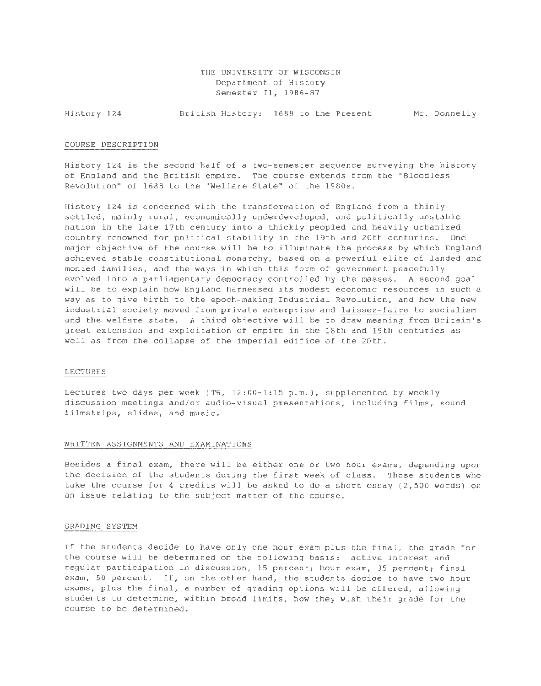THE UNIVERSITY OF WISCONSIN Department of History Semester II, 1986-87

History 124 British History: 1688 to the Present Mr. Donnelly

#### COURSE DESCRIPTION

History 124 is the second half of a two-semester sequence surveying the history of England and the British empire. The course extends from the "Bloodless Revolution" of 1688 to the "Welfare State" of the 1980s.

History 124 is concerned with the transformation of England from a thinly settled, mainly rural, economically underdeveloped, and politically unstable nation in the late 17th century into a thickly peopled and heavily urbanized country renowned for political stability in the 19th and 20th centuries. One major objective of the course will be to illuminate the process by which England achieved stable constitutional monarchy, based on a powerful elite of landed and monied families, and the ways in which this form of government peacefully evolved into a parliamentary democracy controlled by the masses. A second goal will be to explain how England harnessed its modest economic resources in such a way as to give birth to the epoch-making Industrial Revolution, and how the new industrial society moved from private enterprise and laissez-faire to socialism and the welfare state. A third objective will be to draw meaning from Britain's great extension and exploitation of empire in the 18th and 19th centuries as well as from the collapse of the imperial edifice of the 20th.

## LECTURES

Lectures two days per week (TR, 12 : 00-1:15 p.m.), supplemented by weekly discussion meetings and/or audio-visual presentations, including films, sound filmstrips, slides, and music.

### WRITTEN ASSIGNMENTS AND EXAMINATIONS

Besides a final exam, there will be either one or two hour exams, depending upon the decision of the students during the first week of class. Those students who take the course for 4 credits will be asked to do a short essay (2,500 words) on an issue relating to the subject matter of the course.

#### GRADING SYSTEM

If the students decide to have only one hour exam plus the final, the grade for the course will be determined on the following basis: active interest and regular participation in discussion, 15 percent; hour exam, 35 percent; final exam, 50 percent. If, on the other hand, the students decide to have two hour exams, plus the final, a number of grading options will be offered, allowing students to determine, within broad limits, how they wish their grade for the course to be determined.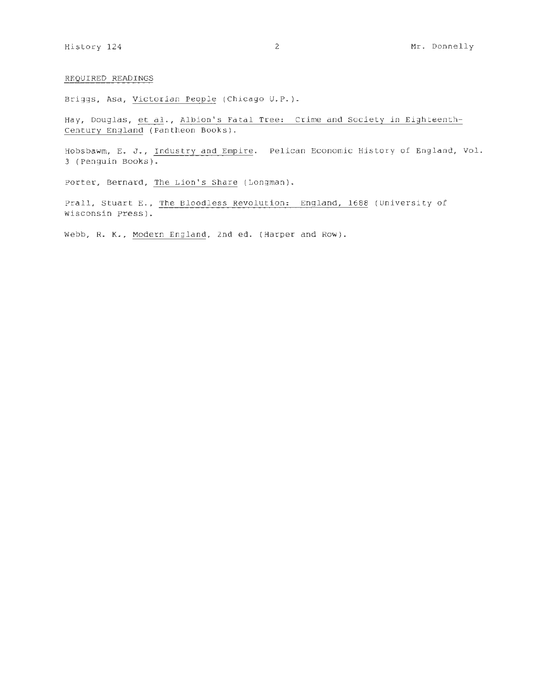## REQUIRED READINGS

Briggs, Asa, Victorian People (Chicago U.P. ).

Hay, Douglas, et al., Albion's Fatal Tree: Crime and Society in Eighteenth-Century England (Pantheon Books) .

Hobsbawm, E. J., Industry and Empire. Pelican Economic History of England, Vol. 3 (Penguin Books) .

Porter, Bernard, The Lion's Share (Longman).

Prall, Stuart E., The Bloodless Revolution: England, 1688 (University of Wisconsin Press).

Webb, R. K., Modern England, 2nd ed. (Harper and Row).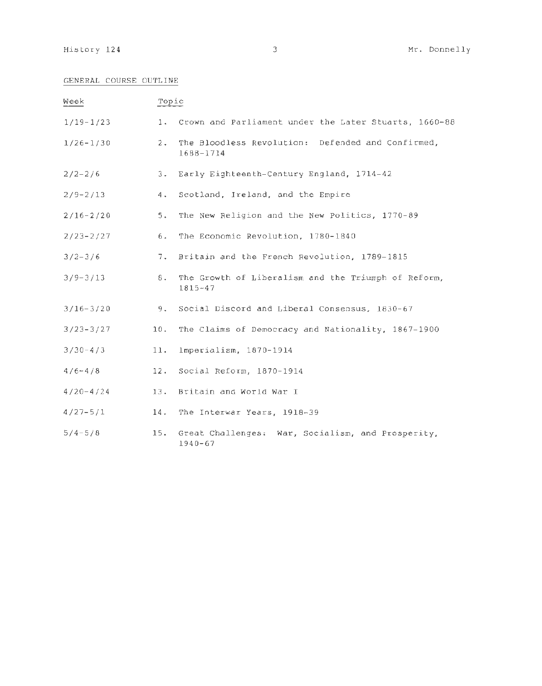## GENERAL COURSE OUTLINE

| Week          | Topic |                                                                    |  |  |
|---------------|-------|--------------------------------------------------------------------|--|--|
| $1/19 - 1/23$ |       | 1. Crown and Parliament under the Later Stuarts, 1660-88           |  |  |
| $1/26 - 1/30$ | $2 -$ | The Bloodless Revolution: Defended and Confirmed,<br>1688-1714     |  |  |
| $2/2 - 2/6$   | $3 -$ | Early Eighteenth-Century England, 1714-42                          |  |  |
| $2/9 - 2/13$  | 4.    | Scotland, Ireland, and the Empire                                  |  |  |
| $2/16 - 2/20$ | 5.    | The New Religion and the New Politics, 1770-89                     |  |  |
| $2/23 - 2/27$ | 6.    | The Economic Revolution, 1780-1840                                 |  |  |
| $3/2 - 3/6$   | 7.    | Britain and the French Revolution, 1789-1815                       |  |  |
| $3/9 - 3/13$  | 8.    | The Growth of Liberalism and the Triumph of Reform,<br>$1815 - 47$ |  |  |
| $3/16 - 3/20$ | 9.    | Social Discord and Liberal Consensus, 1830-67                      |  |  |
| $3/23 - 3/27$ | 10.   | The Claims of Democracy and Nationality, 1867-1900                 |  |  |
| $3/30 - 4/3$  | 11.   | Imperialism, 1870-1914                                             |  |  |
| $4/6 - 4/8$   | 12.   | Social Reform, 1870-1914                                           |  |  |
| $4/20 - 4/24$ | 13.   | Britain and World War I                                            |  |  |
| $4/27 - 5/1$  | 14.   | The Interwar Years, 1918-39                                        |  |  |
| $5/4 - 5/8$   | 15.   | Great Challenges: War, Socialism, and Prosperity,<br>$1940 - 67$   |  |  |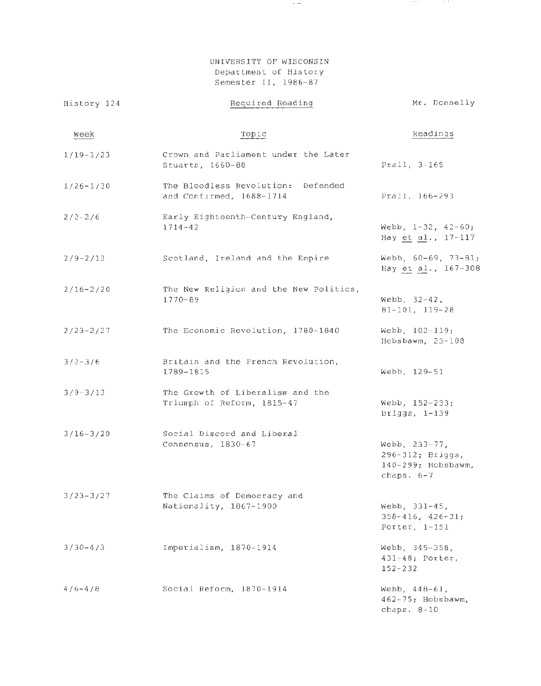UNIVERSITY OF WISCONSIN Department of History Semester II, 1986-87

 $\sim$   $-$ 

 $\mathcal{L}^{\mathcal{L}}$  , where  $\mathcal{L}^{\mathcal{L}}$  are  $\mathcal{L}^{\mathcal{L}}$  , and the following

| History 124   | Required Reading                                               | Mr. Donnelly                                                            |
|---------------|----------------------------------------------------------------|-------------------------------------------------------------------------|
| Week          | Topic                                                          | Readings                                                                |
| $1/19-1/23$   | Crown and Parliament under the Later<br>Stuarts, 1660-88       | Prall, 3-165                                                            |
| $1/26 - 1/30$ | The Bloodless Revolution: Defended<br>and Confirmed, 1688-1714 | Prall, 166-293                                                          |
| $2/2 - 2/6$   | Early Eighteenth-Century England,<br>$1714 - 42$               | Webb, $1-32$ , $42-60$ ;<br>Hay et al., 17-117                          |
| $2/9 - 2/13$  | Scotland, Ireland and the Empire                               | Webb, 60-69, 73-81;<br>Hay et al., 167-308                              |
| $2/16 - 2/20$ | The New Religion and the New Politics,<br>$1770 - 89$          | Webb, $32-42$ ,<br>$81 - 101, 119 - 28$                                 |
| $2/23 - 2/27$ | The Economic Revolution, 1780-1840                             | Webb, $102 - 119$ ;<br>Hobsbawm, $23-108$                               |
| $3/2 - 3/6$   | Britain and the French Revolution,<br>1789-1815                | Webb, 129-51                                                            |
| $3/9 - 3/13$  | The Growth of Liberalism and the<br>Triumph of Reform, 1815-47 | Webb, 152-233;<br>Briggs, 1-139                                         |
| $3/16 - 3/20$ | Social Discord and Liberal<br>Consensus, 1830-67               | Webb, 233-77,<br>296-312; Briggs,<br>140-299; Hobsbawm,<br>chaps. $6-7$ |
| $3/23 - 3/27$ | The Claims of Democracy and<br>Nationality, 1867-1900          | Webb, 331-45,<br>$358 - 416$ , $426 - 31$ ;<br>Porter, $1-151$          |
| $3/30 - 4/3$  | Imperialism, 1870-1914                                         | Webb, 345-358,<br>$431-48$ ; Porter,<br>$152 - 232$                     |
| $4/6 - 4/8$   | Social Reform, 1870-1914                                       | Webb, $448 - 61$ ,<br>462-75; Hobsbawm,<br>chaps. $8-10$                |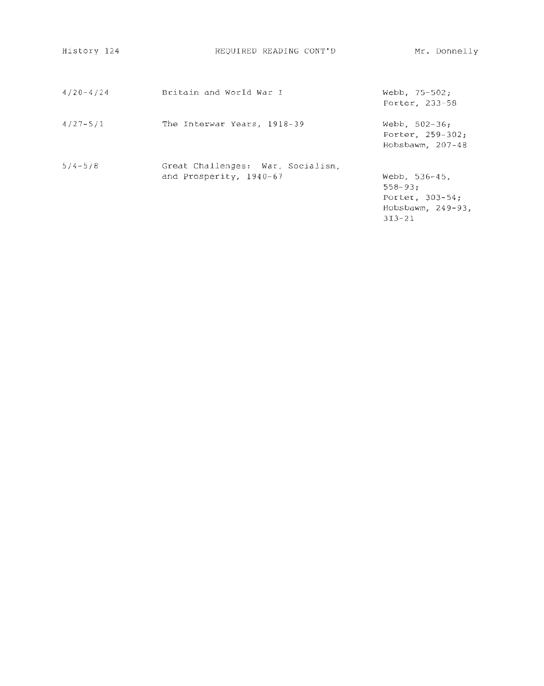| History 124   | REQUIRED READING CONT'D                                      | Mr. Donnelly                                                                          |
|---------------|--------------------------------------------------------------|---------------------------------------------------------------------------------------|
| $4/20 - 4/24$ | Britain and World War I                                      | Webb, $75-502$ ;<br>Porter, 233-58                                                    |
| $4/27 - 5/1$  | The Interwar Years, 1918-39                                  | Webb. $502-36$ ;<br>Porter, 259-302;<br>Hobsbawm, $207-48$                            |
| $5/4 - 5/8$   | Great Challenges: War, Socialism,<br>and Prosperity, 1940-67 | Webb, $536-45$ .<br>$558 - 93:$<br>Porter, 303-54;<br>Hobsbawm, 249-93,<br>$313 - 21$ |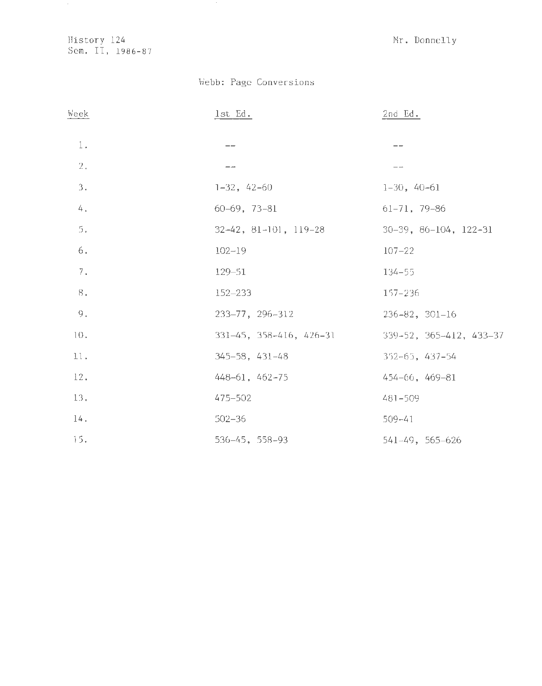History 124 Mr. Donnelly Sem. II, 1986-87

# Webb: Page Conversions

| Week           | $1st$ $Ed.$                   | $2nd$ Ed.                             |
|----------------|-------------------------------|---------------------------------------|
| $1$ .          | $- -$                         | ——                                    |
| 2.             | --                            | $- -$                                 |
| 3.             | $1-32, 42-60$                 | $1-30, 40-61$                         |
| 4.             | $60-69, 73-81$                | $61 - 71, 79 - 86$                    |
| 5.             | $32-42$ , $81-101$ , $119-28$ | $30-39$ , $86-104$ , $122-31$         |
| 6.             | $102 - 19$                    | $107 - 22$                            |
| $7$ .          | $129 - 51$                    | $134 - 55$                            |
| $\mathbf{8}$ . | 152-233                       | 157-236                               |
| 9.             | 233-77, 296-312               | $236 - 82$ , $301 - 16$               |
| $10.$          | 331-45, 358-416, 426-31       | $339 - 52$ , $365 - 412$ , $433 - 37$ |
| 11.            | $345 - 58$ , $431 - 48$       | $352 - 65$ , 437-54                   |
| 12.            | 448-61, 462-75                | $454 - 66$ , $469 - 81$               |
| 13.            | 475-502                       | 481-509                               |
| 14.            | $502 - 36$                    | $509 - 41$                            |
| 15.            | $536 - 45, 558 - 93$          | 541-49, 565-626                       |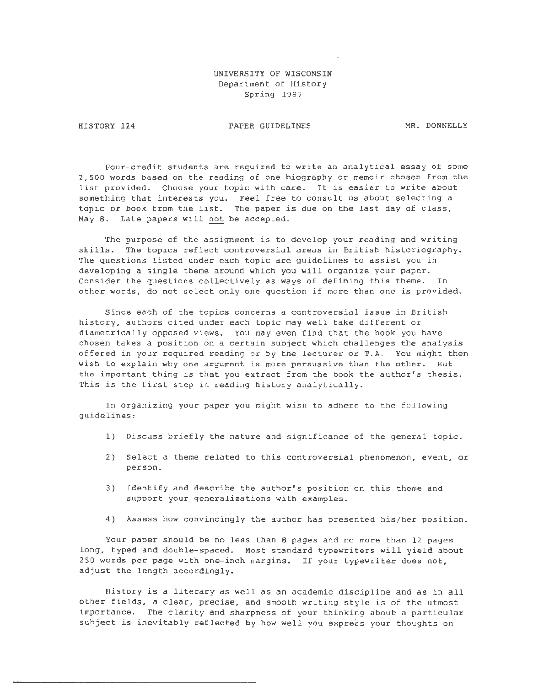## UNIVERSITY OF WISCONSIN Department of History Spring 1987

HISTORY 124

I

PAPER GUIDELINES MR. DONNELLY

Four-credit students are required to write an analytical essay of some 2,500 words based on the reading of one biography or memoir chosen from the list provided. Choose your topic with care. It is easier to write about something that interests you. Feel free to consult us about selecting a topic or book from the list. The paper is due on the last day of class, May 8. Late papers will not be accepted.

The purpose of the assignment is to develop your reading and writing skills. The topics reflect controversial areas *in* British historiography. The questions listed under each topic are guidelines to assist you in developing a single theme around which you will organize your paper. Consider the questions collectively as ways of defining this theme. In other words, do not select only one question if more than one is provided.

Since each of the topics concerns a controversial issue *in* British history, authors cited under each topic may well take different or diametrically opposed views. You may even find that the book you have chosen takes a position on a certain subject which challenges the analysis offered in your required reading or by the lecturer or T.A. You might then wish to explain why one argument is more persuasive than the other. But the important thing is that you extract from the book the author's thesis. This is the first step in reading history analytically.

In organizing your paper you might wish to adhere to the following guidelines:

- 1) Discuss briefly the nature and significance of the general topic.
- 2) Select a theme related to this controversial phenomenon, event, or person.
- 3) Identify and describe the author's position on this theme and support your generalizations with examples.
- 4) Assess how convincingly the author has presented his/her position.

Your paper should be no less than 8 pages and no more than 12 pages long, typed and double-spaced. Most standard typewriters will yield about 250 words per page with one-inch margins. If your typewriter does not, adjust the length accordingly.

History is a literary as well as an academic discipline and as in all other fields, a clear, precise, and smooth writing style is of the utmost importance. The clarity and sharpness of your thinking about a particular subject is inevitably reflected by how well you express your thoughts on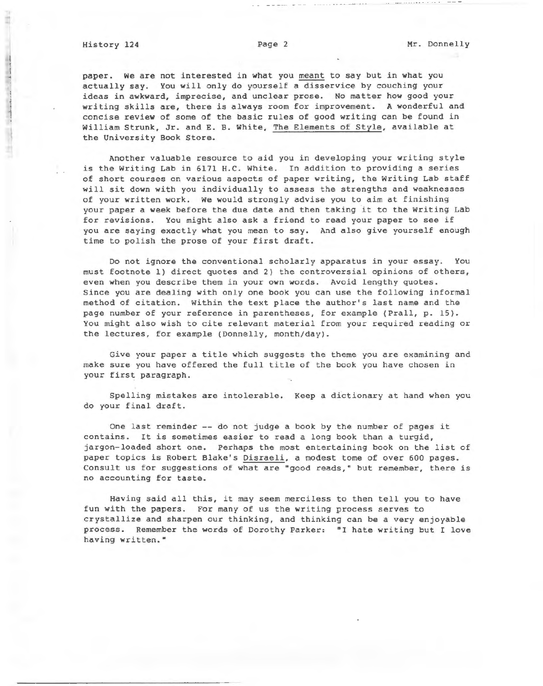paper. we are not interested in what you meant to say but in what you actually say. You will only do yourself a disservice by couching your ideas in awkward, imprecise, and unclear prose . No matter how good your writing skills are, there *is* always room for improvement. A wonderful and concise review of some of the basic rules of good writing can be found in William Strunk, Jr. and E. B. White, The Elements of Style, available at the University Book Store.

Another valuable resource to aid you in developing your writing style is the Writing Lab in 6171 H.C. White. In addition to providing a series of short courses on various aspects of paper writing, the Writing Lab staff will sit down with you individually to assess the strengths and weaknesses of your written work. we would strongly advise you to aim at finishing your paper a week before the due date and then taking it to the Writing Lab for revisions. You might also ask a friend to read your paper to see if you are saying exactly what you mean to say. And also give yourself enough time to polish the prose of your first draft.

Do not ignore the conventional scholarly apparatus in your essay. You must footnote 1) direct quotes and 2) the controversial opinions of others, even when you describe them in your own words. Avoid lengthy quotes. Since you are dealing with only one book you can use the following informal method of citation. Within the text place the author's last name and the page number of your reference in parentheses, for example (Prall, p. 15). You might also wish to cite relevant material from your required reading or the lectures, for example (Donnelly, month/day) .

Give your paper a title which suggests the theme you are examining and make sure you have offered the full title of the book you have chosen in your first paragraph.

Spelling mistakes are intolerable. Keep a dictionary at hand when you do your final draft.

One last reminder -- do not judge a book by the number of pages it contains. It *is* sometimes easier to read a long book than a turgid, jargon-loaded short one. Perhaps the most entertaining book on the list of paper topics *is* Robert Blake's Disraeli, a modest tome of over 600 pages. Consult us for suggestions of what are "good reads," but remember, there *is*  no accounting for taste.

Having said all this, it may seem merciless to then tell you to have fun with the papers. For many of us the writing process serves to crystallize and sharpen our thinking, and thinking can be a very enjoyable process. Remember the words of Dorothy Parker: "I hate writing but I love having written. •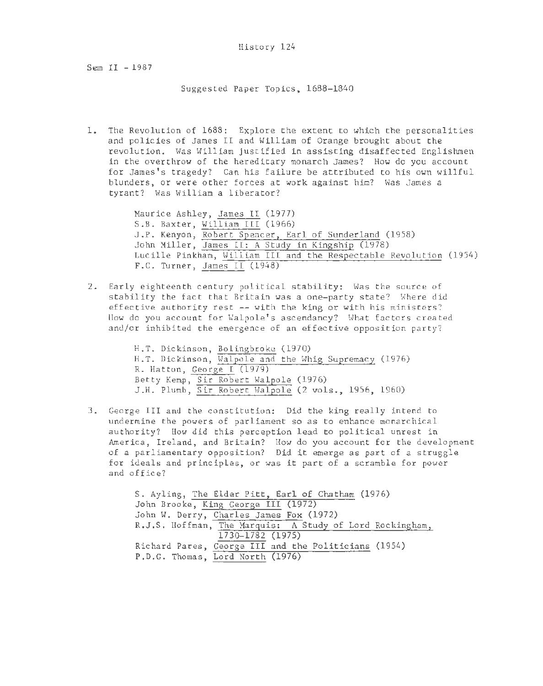Sem II - 1987

Suggested Paper Topics. 1688-1840

1. The Revolution of 1688: Explore the extent to which the personalities and policies of James II and William of Orange brought about the revolution. Was William justified in assisting disaffected Englishmen in the overthrow of the hereditary monarch James? How do you account for James's tragedy? Can his failure be attributed to his own willful blunders. or were other forces at work against him? Has James a tyrant? Was William a liberator?

> Maurice Ashley, James II (1977) S .B. Baxter, William III (1966) J.P. Kenyon, Robert Spencer, Earl of Sunderland (1958) John Miller. James II: A Study in Kingship (1978) Lucille Pinkham, William III and the Respectable Revolution (1954) F.C. Turner, James II  $(1948)$

2. Early eighteenth century political stability: Was the source of stability the fact that Britain was a one-party state? Where did effective authority rest -- with the king or with his ministers? ilow do you account for Walpole's ascendancy? What factors created and/or inhibited the emergence of an effective opposition party?

> H.T. Dickinson, Bolingbroke (1970) H.T. Dickinson, Walpole and the Whig Supremacy (1976) R. Hatton, George I (1979) Betty Kemp, Sir Robert Walpole (1976) J.H. Plumb, Sir Robert Halpole (2 vols., 1956, 1960)

3 . George III and the constitution: Did the king really intend to undermine the powers of parliament so as to enhance monarchical authority? How did this perception lead to political unrest in America, Ireland, and Britain? How do you account for the development of a parliamentary opposition? Did it emerge as part of a struggle for ideals and principles, or was it part of a scramble for power and office?

> S. Ayling, The Elder Pitt, Earl of Chatham (1976) John Brooke, King George III (1972) John W. Derry. Charles James Fox (1972) R.J.S. Hoffman, The Marquis: A Study of Lord Rockingham, 1730- 1782 (1975) Richard Pares. George III and the Politicians (1954) P.D.G. Thomas, Lord North (1976)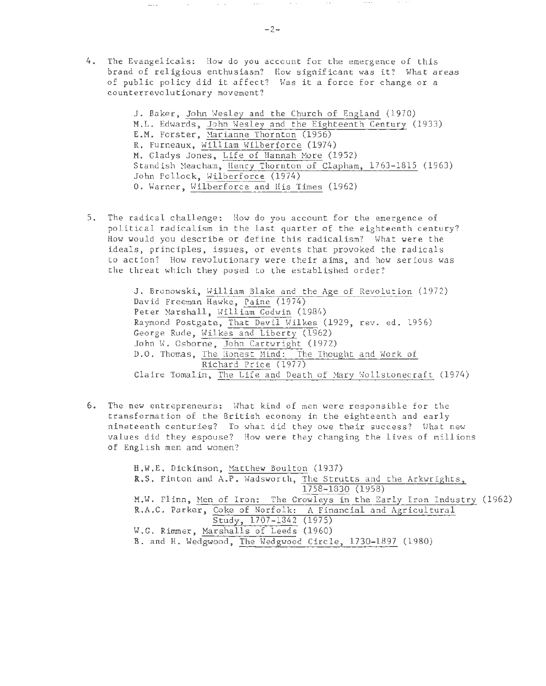4. The Evangelicals: How do you account for the emergence of this brand of religious enthusiasm? How significant was it? What areas of public policy did it affect? Was it a force for change or a counterrevolutionary movement?

> J. Baker, John Wesley and the Church of England (1970) M.L. Edwards, John Wesley and the Eighteenth Century (1933) E.M. Forster, Harianne Thornton (1956) R. Furneaux, William Wilberforce (1974) M. Gladys Jones, Life of Hannah More (1952) Standish Meacham, Henry Thornton of Clapham, 1763-1815 (1963) John Pollock, Wilberforce (1974) 0. Warner, Wilberforce and His Times (1962)

5. The radical challenge: How do you account for the emergence of political radicalism in the last quarter of the eighteenth century? How would you describe or define this radicalism? Hhat were the ideals, principles, issues, or events that provoked the radicals to action? How revolutionary were their aims, and how serious was the threat which they posed to the established order?

> J. Bronowski, William Blake and the Age of Revolution (1972) David Freeman Hawke, Paine (1974) Peter Marshall, William Godwin (1984) Raymond Postgate, That Devil Wilkes (1929, rev. ed. 1956) George Rude, Wilkes and Liberty (1962) John W. Osborne, John Cartwright (1972) D.O. Thomas, The Honest Mind: The Thought and Work of Richard Price (1977) Claire Tomalin, The Life and Death of Mary Wollstonecraft (1974)

6. The new entrepreneurs: What kind of men were responsible for the transformation of the British economy in the eighteenth and early nineteenth centuries? To what did they owe their success? Hhat new values did they espouse? How were they changing the lives of millions of English men and women?

> H.W.E. Dickinson, Matthew Boulton (1937) R.S. Finton and A.P . Wadsworth, The Strutts and the Arkwrights, 1758-1830 (1958) M.W. Flinn, Men of Iron: The Crowleys in the Early Iron Industry (1962) R.A.C. Parker, Coke of Norfolk: A Financial and Agricultural Study, 1707-1842 (1975) W.G. Rimmer, Marshalls of Leeds (1960) B. and H. Wedgwood, The Wedgwood Circle, 1730- 1897 (1980)

 $\sim$   $\sim$ 

 $\sim$   $\sim$   $\sim$ 

 $\sim$  -  $\sim$ 

 $\sim 100$ 

 $\dots$  .

 $\alpha$  ,  $\alpha$  ,  $\alpha$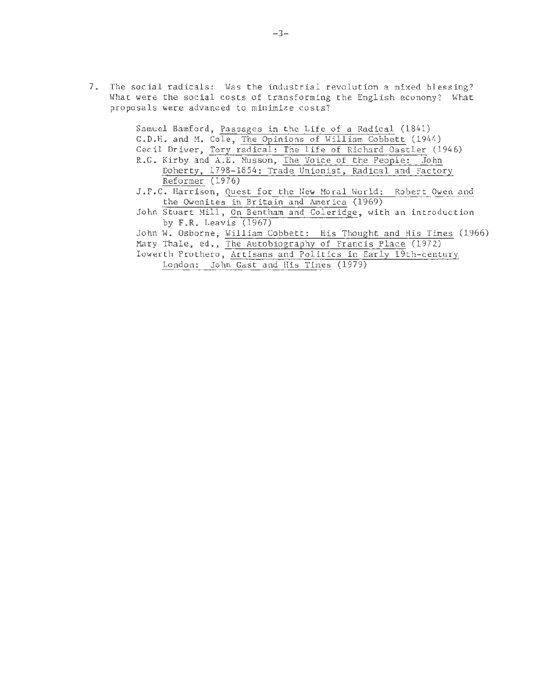7. The social radicals: Was the industrial revolution a mixed blessing? What were the social costs of transforming the English economy? What proposals were advanced to minimize costs?

| Samuel Bamford, Passages in the Life of a Radical (1841)           |
|--------------------------------------------------------------------|
| G.D.H. and M. Cole, The Opinions of William Cobbett (1944)         |
| Cecil Driver, Tory radical: The life of Richard Oastler (1946)     |
| R.G. Kirby and A.E. Musson, The Voice of the People: John          |
| Doherty, 1798-1854: Trade Unionist, Radical and Factory            |
| Reformer (1976)                                                    |
| J.F.C. Harrison, Quest for the New Moral World: Robert Owen and    |
| the Owenites in Britain and America (1969)                         |
| John Stuart Mill, On Bentham and Coleridge, with an introduction   |
| by $F.R.$ Leavis (1967)                                            |
| John W. Osborne, William Cobbett: His Thought and His Times (1966) |
| Mary Thale, ed., The Autobiography of Francis Place (1972)         |
| Iowerth Prothero, Artisans and Politics in Early 19th-century      |
| London: John Gast and His Times (1979)                             |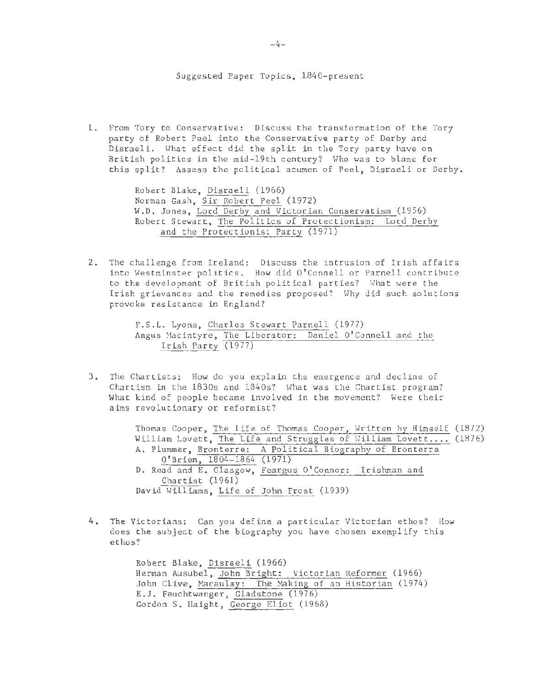## Suggested Paper Topics, 1840-present

1. From Tory to Conservative: Discuss the transformation of the Tory party of Robert Peel into the Conservative party of Derby and Disraeli. What effect did the split in the Tory party have on British politics in the mid-19th century? Who was to blame for this split? Assess the political acumen of Peel, Disraeli or Derby.

> Robert Blake, Disraeli (1966) Norman Gash, Sir Robert Peel (1972) W.O. Jones, Lord Derby and Victorian Conservatism (1956) Robert Stewart, The Politics of Protectionism: Lord Derby and the Protectionist Party (1971)

2. The challenge from Ireland: Discuss the intrusion of Irish affairs into Westminster politics. How did O'Connell or Parnell contribute to the development of British political parties? What were the Irish grievances and the remedies proposed? Why did such solutions provoke resistance in England?

> F.S.L. Lyons, Charles Stewart Parnell (1977) Angus Macintyre, The Liberator: Daniel O'Connell and the Irish Party (1977)

3. The Chartists: How do you explain the emergence and decline of Chartism in the 1830s and 1840s? What was the Chartist program? What kind of people became involved in the movement? Were their aims revolutionary or reformist?

> Thomas Cooper, The life of Thomas Cooper, Written by Himself (1872) William Lovett, The Life and Struggles of William Lovett.... (1876) A. Plummer, Bronterre: A Political Biography of Bronterre O'Brien, 1804-1864 (1971) D. Read and E. Glasgow, Feargus O' Connor: Irishman and Chartist (1961) David Williams, Life of John Frost (1939)

4. The Victorians: Can you define a particular Victorian ethos? How does the subject of the biography you have chosen exemplify this ethos?

> Robert Blake, Disraeli (1966) Herman Ausubel, John Bright: Victorian Reformer (1966) John Clive, Macaulay: The Making of an Historian (1974) E.J. Feuchtwanger, Gladstone (1976) Gordon S. Haight, George Eliot (1968)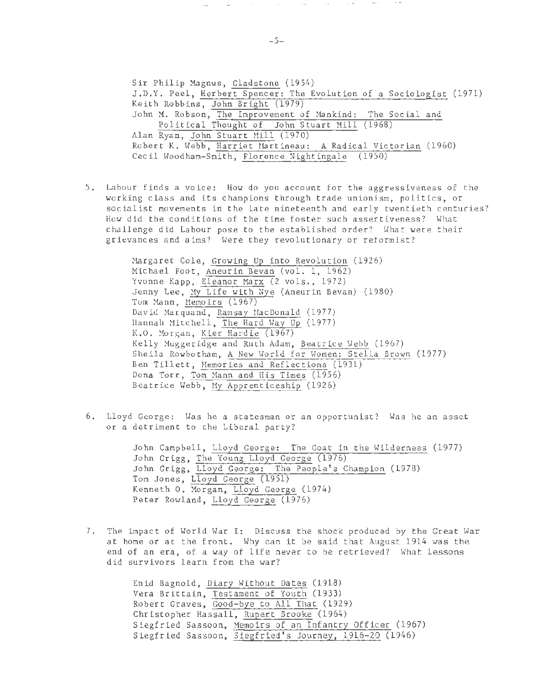Sir Philip Magnus, Gladstone (1954) J . D.Y. Peel , Herbert Spencer: The Evolution of a Sociologist (1971) Keith Robbins, John Bright (1979) John M. Robson, The Improvement of Mankind: The Social and Political Thought of John Stuart Mill (1968) Alan Ryan, John Stuart Mill (1970) Robert K. Webb, Harriet Martineau: A Radical Victorian (1960) Cecil Woodham-Smith, Florence Nightingale (1950)

5 . Labour finds a voice: How do you account for the aggressiveness of the working class and its champions through trade unionism, politics, or socialist movements in the late nineteenth and early twentieth centuries? How did the conditions of the time foster such assertiveness? What challenge did Labour pose to the established order? What were their grievances and aims? Here they revolutionary or reformist?

> Margaret Cole, Growing Up into Revolution (1926) Michael Foot, Aneurin Bevan (vol. 1, 1962) Yvonne Kapp, Eleanor Marx (2 vols., 1972) Jenny Lee, My Life with Nye (Aneurin Bevan) (1980) Tom Mann, Memoirs (1967) David Marquand, Ramsay MacDonald (1977) Hannah Mitchell, The Hard Hay Up (1977) K.O. Morgan, Kier Hardie (1967) Kelly Huggeridge and Ruth Adam, Beatrice Hebb (1967) Sheila Rowbotham, A New World for Women: Stella Brown (1977) Ben Tillett, Memories and Reflections (1931) Dona Torr, Tom Mann and His Times (1956) Beatrice Webb, My Apprenticeship (1926)

6. Lloyd George: Was he a statesman or an opportunist? Was he an asset or a detriment to the Liberal party?

> John Campbell, Lloyd George: The Goat in the Wilderness (1977) John Grigg, The Young Lloyd George (1976) John Grigg, Lloyd George: The People's Champion (1978) Tom Jones, Lloyd George (1951) Kenneth O. Morgan, Lloyd George (1974) Peter Rowland, Lloyd George (1976)

7. The impact of World War I: Discuss the shock produced by the Great War at home or at the front. Why can it be said that August 1914 was the end of an era, of a way of life never to be retrieved? What lessons did survivors learn from the war?

> Enid Bagnold, Diary Without Dates (1918) Vera Brittain, Testament of Youth (1933) Robert Graves, Good-bye to All That (1929) Christopher Hassall, Rupert Brooke (1964) Siegfried Sassoon, Memoirs of an Infantry Officer (1967) Siegfried Sassoon, Siegfried's Journey, 1916-20 (1946)

 $\sim$ 

 $\sim 1000$ 

 $\sim 10^{-1}$ 

 $\mathcal{L} = \{1,2,3\}$ 

 $\sim 10^{-1}$